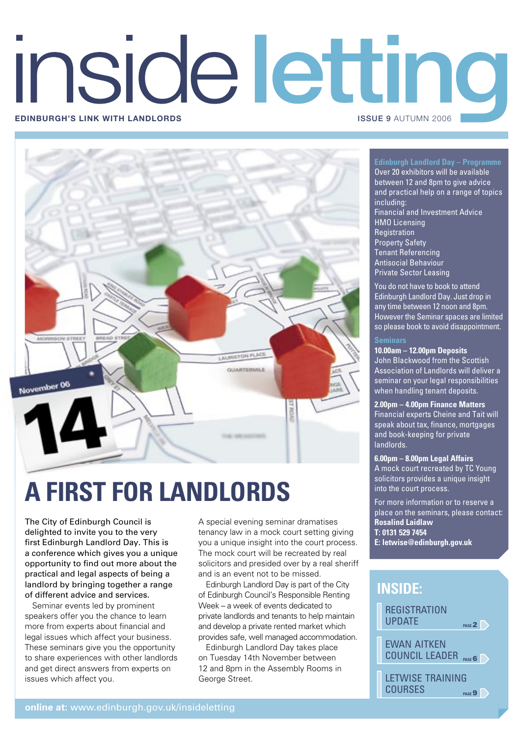# inside letting **EDINBURGH'S LINK WITH LANDLORDS ISSUE 9 AUTUMN 2006**



# **A FIRST FOR LANDLORDS**

The City of Edinburgh Council is delighted to invite you to the very first Edinburgh Landlord Day. This is a conference which gives you a unique opportunity to find out more about the practical and legal aspects of being a landlord by bringing together a range of different advice and services.

Seminar events led by prominent speakers offer you the chance to learn more from experts about financial and legal issues which affect your business. These seminars give you the opportunity to share experiences with other landlords and get direct answers from experts on issues which affect you.

A special evening seminar dramatises tenancy law in a mock court setting giving you a unique insight into the court process. The mock court will be recreated by real solicitors and presided over by a real sheriff and is an event not to be missed.

Edinburgh Landlord Day is part of the City of Edinburgh Council's Responsible Renting Week – a week of events dedicated to private landlords and tenants to help maintain and develop a private rented market which provides safe, well managed accommodation.

Edinburgh Landlord Day takes place on Tuesday 14th November between 12 and 8pm in the Assembly Rooms in George Street.

# **Edinburgh Landlord Day – Programme**

Over 20 exhibitors will be available between 12 and 8pm to give advice and practical help on a range of topics including: Financial and Investment Advice HMO Licensing **Registration** Property Safety Tenant Referencing Antisocial Behaviour Private Sector Leasing

You do not have to book to attend Edinburgh Landlord Day. Just drop in any time between 12 noon and 8pm. However the Seminar spaces are limited so please book to avoid disappointment.

# **Seminars**

**10.00am – 12.00pm Deposits**

John Blackwood from the Scottish Association of Landlords will deliver a seminar on your legal responsibilities when handling tenant deposits.

**2.00pm – 4.00pm Finance Matters** Financial experts Cheine and Tait will speak about tax, finance, mortgages and book-keeping for private landlords.

# **6.00pm – 8.00pm Legal Affairs**

A mock court recreated by TC Young solicitors provides a unique insight into the court process.

For more information or to reserve a place on the seminars, please contact: **Rosalind Laidlaw T: 0131 529 7454**

**E: letwise@edinburgh.gov.uk**

# **REGISTRATION** UPDATE **INSIDE:**

EWAN AITKEN COUNCIL LEADER **PAGE**6

**PAGE2** 

LETWISE TRAINING COURSES **PAGE**9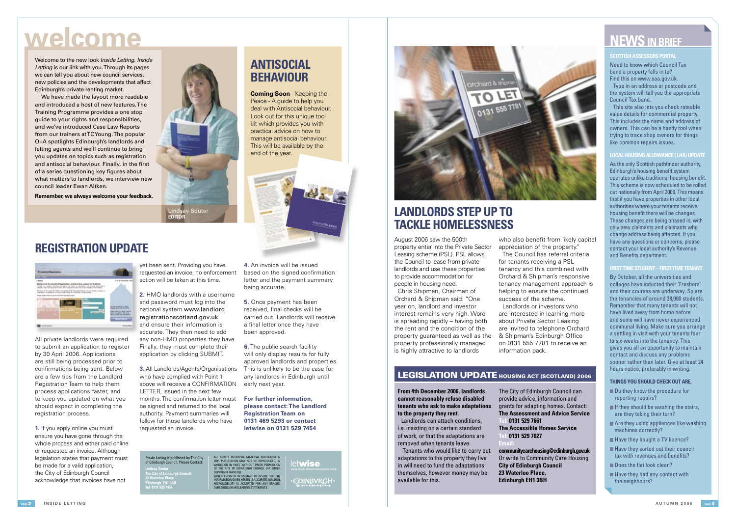August 2006 saw the 500th property enter into the Private Sector Leasing scheme (PSL). PSL allows the Council to lease from private landlords and use these properties to provide accommodation for people in housing need.

Chris Shipman, Chairman of Orchard & Shipman said: "One year on, landlord and investor interest remains very high. Word is spreading rapidly – having both the rent and the condition of the property guaranteed as well as the property professionally managed is highly attractive to landlords

#### **SCOTTISH ASSESSORS PORTAL**

Need to know which Council Tax band a property falls in to? Find this on www.saa.gov.uk.

Type in an address or postcode and the system will tell you the appropriate Council Tax band.

This site also lets you check rateable value details for commercial property. This includes the name and address of owners. This can be a handy tool when trying to trace shop owners for things like common repairs issues.

# **LOCAL HOUSING ALLOWANCE ( LHA) UPDATE**

As the only Scottish pathfinder authority, Edinburgh's housing benefit system operates unlike traditional housing benefit. This scheme is now scheduled to be rolled out nationally from April 2008. This means that if you have properties in other local authorities where your tenants receive housing benefit there will be changes. These changes are being phased in, with only new claimants and claimants who change address being affected. If you have any questions or concerns, please contact your local authority's Revenue and Benefits department.

- Do they know the procedure for reporting repairs?
- $\blacksquare$  If they should be washing the stairs, are they taking their turn?
- Are they using appliances like washing machines correctly?
- Have they bought a TV licence?
- Have they sorted out their council tax with revenues and benefits?
- $\blacksquare$  Does the flat look clean?
- $\blacksquare$  Have they had any contact with the neighbours?

who also benefit from likely capital appreciation of the property." The Council has referral criteria for tenants receiving a PSL tenancy and this combined with Orchard & Shipman's responsive tenancy management approach is helping to ensure the continued success of the scheme.

### **FIRST TIME STUDENT – FIRST TIME TENANT**

By October, all the universities and colleges have inducted their 'Freshers' and their courses are underway. So are the tenancies of around 38,000 students. Remember that many tenants will not have lived away from home before and some will have never experienced communal living. Make sure you arrange a settling in visit with your tenants four to six weeks into the tenancy. This gives you all an opportunity to maintain contact and discuss any problems sooner rather than later. Give at least 24 hours notice, preferably in writing.

ALL RIGHTS RESERVED. MATERIAL CONTAINED IN<br>THIS PUBLICATION MAY NOT BE REPRODUCED, IN<br>WHOLE OR IN PART, WITHOUT PRIOR PERMISSION<br>OF THE CITY OF EDINBURGH COUNCIL (OR OTHER COPYRIGHT OWNERS). WHILST EVERY EFFORT IS MADE TO ENSURE THAT THE INFORMATION GIVEN HEREIN IS ACCURATE, NO LEGAL RESPONSIBILITY IS ACCEPTED FOR ANY ERRORS, OMISSIONS OR MISLEADING STATEMENTS.

# et**wise**

**EDINBVRGH** 

## **THINGS YOU SHOULD CHECK OUT ARE,**

# **welcome**

Landlords or investors who are interested in learning more about Private Sector Leasing are invited to telephone Orchard & Shipman's Edinburgh Office on 0131 555 7781 to receive an information pack.

# LEGISLATION UPDATE HOUSING ACT (SCOTLAND) 2006

All private landlords were required to submit an application to register by 30 April 2006. Applications are still being processed prior to confirmations being sent. Below are a few tips from the Landlord Registration Team to help them process applications faster, and to keep you updated on what you should expect in completing the registration process.

**From 4th December 2006, landlords cannot reasonably refuse disabled tenants who ask to make adaptations to the property they rent.**

Landlords can attach conditions, i.e. insisting on a certain standard of work, or that the adaptations are removed when tenants leave.

 Tenants who would like to carry out adaptations to the property they live in will need to fund the adaptations themselves, however money may be available for this.

The City of Edinburgh Council can provide advice, information and grants for adapting homes. Contact: **The Assessment and Advice Service Tel: 0131 529 7661 The Accessible Homes Service Tel: 0131 529 7027 Email:**

**6.** The public search facility will only display results for fully approved landlords and properties. This is unlikely to be the case for any landlords in Edinburgh until early next year.

> **communitycarehousing@edinburgh.gov.uk** Or write to Community Care Housing **City of Edinburgh Council 23 Waterloo Place, Edinburgh EH1 3BH**

Welcome to the new look Inside Letting. Inside Letting is our link with you. Through its pages we can tell you about new council services, new policies and the developments that affect Edinburgh's private renting market.

 We have made the layout more readable and introduced a host of new features. The Training Programme provides a one stop guide to your rights and responsibilities, and we've introduced Case Law Reports from our trainers at TC Young. The popular Q+A spotlights Edinburgh's landlords and letting agents and we'll continue to bring you updates on topics such as registration and antisocial behaviour. Finally, in the first of a series questioning key figures about what matters to landlords, we interview new council leader Ewan Aitken.

**Remember, we always welcome your feedback.** 

**LANDLORDS STEP UP TO TACKLE HOMELESSNESS**

*<u>xchard &</u>* 

O LET

0131 555 7781

Inside Letting is published by The City of Edinburgh Council. Please Contact: **Lindsay Souter The City of Edinburgh Council 23 Waterloo Place Edinburgh, EH1 3BH Tel: 0131 529 7454**

**EDITOR**

Souter

**Coming Soon** - Keeping the



**ANTISOCIAL** 

**BEHAVIOUR**



# **NEWS IN BRIFF**

# **REGISTRATION UPDATE**

| 18444                                                                                                                                                     |                                                     |
|-----------------------------------------------------------------------------------------------------------------------------------------------------------|-----------------------------------------------------|
| intra da Bra Lucalincii Bugushum<br>--<br>the to which worth of days.<br>the province of the Con-                                                         |                                                     |
| Bronau, at the sales air dann, nó naghairt a bhí agus ring an traisin ann a propin at<br>Imparator a nagharal, ar a am chráil dearbha Cambura chainceann. |                                                     |
| Form more refer this bank to at free! Ad setup better                                                                                                     |                                                     |
|                                                                                                                                                           |                                                     |
|                                                                                                                                                           |                                                     |
|                                                                                                                                                           | <b>BIS COLLIS OF OUR CITY COMPANY</b>               |
| <b><i><u>SALES AND</u></i></b>                                                                                                                            | dealer the figure against<br><b>RUN BAY THE AVE</b> |
|                                                                                                                                                           | <b>START OFFICE</b><br>-                            |
|                                                                                                                                                           |                                                     |

**1.** If you apply online you must ensure you have gone through the whole process and either paid online or requested an invoice. Although legislation states that payment must be made for a valid application. the City of Edinburgh Council acknowledge that invoices have not

yet been sent. Providing you have requested an invoice, no enforcement action will be taken at this time.

**2.** HMO landlords with a username and password must log into the national system www.landlord registrationscotland.gov.uk and ensure their information is accurate. They then need to add any non-HMO properties they have. Finally, they must complete their application by clicking SUBMIT.

**3.** All Landlords/Agents/Organisations who have complied with Point 1 above will receive a CONFIRMATION LETTER, issued in the next few months. The confirmation letter must be signed and returned to the local authority. Payment summaries will follow for those landlords who have requested an invoice.

**4.** An invoice will be issued based on the signed confirmation letter and the payment summary being accurate.

**5.** Once payment has been received, final checks will be carried out. Landlords will receive a final letter once they have been approved.

**For further information, please contact: The Landlord Registration Team on 0131 469 5293 or contact letwise on 0131 529 7454**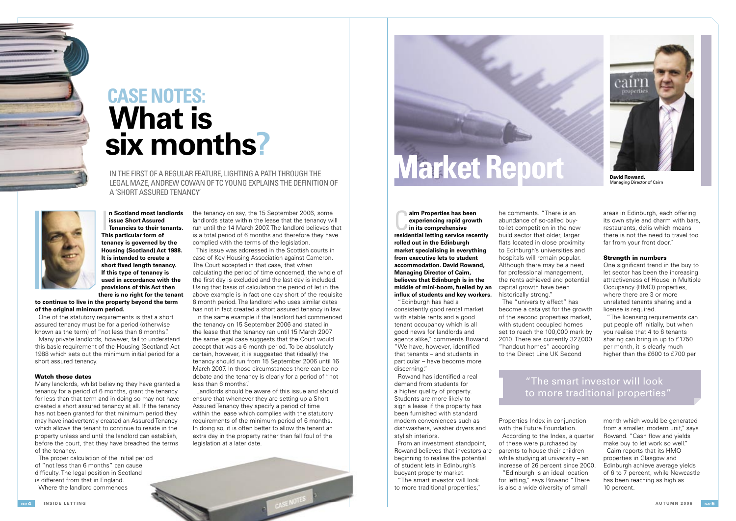

**David Rowand,**  Managing Director of Cairn

he comments. "There is an abundance of so-called buyto-let competition in the new build sector that older, larger flats located in close proximity to Edinburgh's universities and hospitals will remain popular. Although there may be a need for professional management, the rents achieved and potential capital growth have been historically strong."

The "university effect" has become a catalyst for the growth of the second properties market, with student occupied homes set to reach the 100,000 mark by 2010. There are currently 327,000 "handout homes" according to the Direct Line UK Second

One significant trend in the buy to let sector has been the increasing attractiveness of House in Multiple Occupancy (HMO) properties, where there are 3 or more unrelated tenants sharing and a license is required.

Properties Index in conjunction with the Future Foundation. According to the Index, a quarter of these were purchased by parents to house their children while studying at university – an increase of 26 percent since 2000. "Edinburgh is an ideal location for letting," says Rowand "There is also a wide diversity of small

areas in Edinburgh, each offering its own style and charm with bars, restaurants, delis which means there is not the need to travel too far from your front door."

## Strength in numbers

Rowand has identified a real demand from students for a higher quality of property. Students are more likely to sign a lease if the property has been furnished with standard modern conveniences such as dishwashers, washer dryers and stylish interiors.

"The licensing requirements can put people off initially, but when you realise that 4 to 6 tenants sharing can bring in up to £1750 per month, it is clearly much higher than the £600 to £700 per

# "The smart investor will look to more traditional properties'

month which would be generated from a smaller, modern unit," says Rowand. "Cash flow and vields make buy to let work so well." Cairn reports that its HMO

**n Scotland most lan<br>issue Short Assured<br>Tenancies to their te<br>This particular form of n Scotland most landlords issue Short Assured Tenancies to their tenants. tenancy is governed by the Housing (Scotland) Act 1988. It is intended to create a**  short fixed length tenancy. **If this type of tenancy is used in accordance with the provisions of this Act then there is no right for the tenant** 

> properties in Glasgow and Edinburgh achieve average yields of 6 to 7 percent, while Newcastle has been reaching as high as 10 percent.

"Edinburgh has had a consistently good rental market with stable rents and a good tenant occupancy which is all good news for landlords and agents alike," comments Rowand. "We have, however, identified that tenants – and students in particular – have become more discerning."

From an investment standpoint, Rowand believes that investors are beginning to realise the potential of student lets in Edinburgh's buoyant property market.

Landlords should be aware of this issue and should ensure that whenever they are setting up a Short Assured Tenancy they specify a period of time within the lease which complies with the statutory requirements of the minimum period of 6 months. In doing so, it is often better to allow the tenant an extra day in the property rather than fall foul of the legislation at a later date.



**respectively a** improperties has been<br>experiencing rapid growth<br>in its comprehensive<br>residential letting service recently **airn Properties has been experiencing rapid growth in its comprehensive rolled out in the Edinburgh market specialising in everything from executive lets to student accommodation. David Rowand, Managing Director of Cairn, believes that Edinburgh is in the middle of mini-boom, fuelled by an influx of students and key workers.** 

"The smart investor will look to more traditional properties,"



# **What is six months? CASE NOTES:**

IN THE FIRST OF A REGULAR FEATURE, LIGHTING A PATH THROUGH THE LEGAL MAZE, ANDREW COWAN OF TC YOUNG EXPLAINS THE DEFINITION OF A 'SHORT ASSURED TENANCY'



**to continue to live in the property beyond the term of the original minimum period.**

One of the statutory requirements is that a short assured tenancy must be for a period (otherwise known as the term) of "not less than 6 months".

Many private landlords, however, fail to understand this basic requirement of the Housing (Scotland) Act 1988 which sets out the minimum initial period for a short assured tenancy.

#### Watch those dates

Many landlords, whilst believing they have granted a tenancy for a period of 6 months, grant the tenancy for less than that term and in doing so may not have created a short assured tenancy at all. If the tenancy has not been granted for that minimum period they may have inadvertently created an Assured Tenancy which allows the tenant to continue to reside in the property unless and until the landlord can establish, before the court, that they have breached the terms of the tenancy.

The proper calculation of the initial period of "not less than 6 months" can cause difficulty. The legal position in Scotland is different from that in England. Where the landlord commences

the tenancy on say, the 15 September 2006, some landlords state within the lease that the tenancy will run until the 14 March 2007. The landlord believes that is a total period of 6 months and therefore they have complied with the terms of the legislation.

This issue was addressed in the Scottish courts in case of Key Housing Association against Cameron. The Court accepted in that case, that when calculating the period of time concerned, the whole of the first day is excluded and the last day is included. Using that basis of calculation the period of let in the above example is in fact one day short of the requisite 6 month period. The landlord who uses similar dates has not in fact created a short assured tenancy in law. In the same example if the landlord had commenced the tenancy on 15 September 2006 and stated in the lease that the tenancy ran until 15 March 2007 the same legal case suggests that the Court would accept that was a 6 month period. To be absolutely certain, however, it is suggested that (ideally) the tenancy should run from 15 September 2006 until 16 March 2007. In those circumstances there can be no debate and the tenancy is clearly for a period of "not less than 6 months".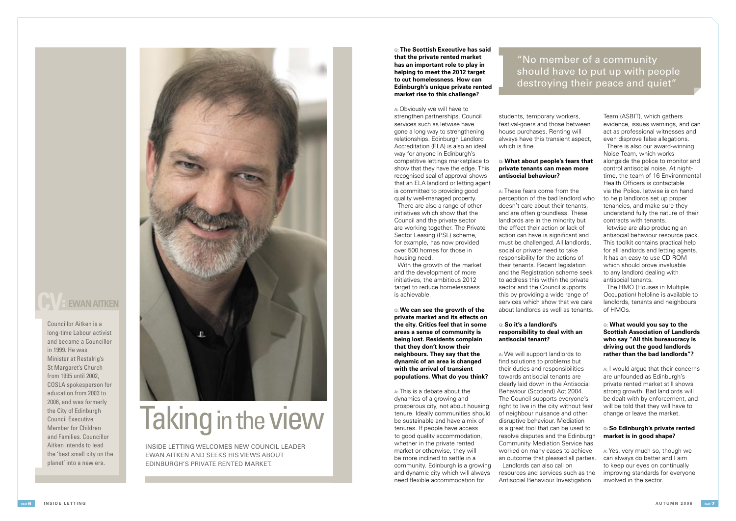**Q: The Scottish Executive has said that the private rented market has an important role to play in helping to meet the 2012 target to cut homelessness. How can Edinburgh's unique private rented market rise to this challenge?**

**A:** Obviously we will have to strengthen partnerships. Council services such as letwise have gone a long way to strengthening relationships. Edinburgh Landlord Accreditation (ELA) is also an ideal way for anyone in Edinburgh's competitive lettings marketplace to show that they have the edge. This recognised seal of approval shows that an ELA landlord or letting agent is committed to providing good quality well-managed property.

**A:** This is a debate about the dynamics of a growing and prosperous city, not about housing tenure. Ideally communities should be sustainable and have a mix of tenures. If people have access to good quality accommodation, whether in the private rented market or otherwise, they will be more inclined to settle in a community. Edinburgh is a growing and dynamic city which will always need flexible accommodation for

There are also a range of other initiatives which show that the Council and the private sector are working together. The Private Sector Leasing (PSL) scheme, for example, has now provided over 500 homes for those in housing need.

students, temporary workers, festival-goers and those between house purchases. Renting will always have this transient aspect, which is fine.

With the growth of the market and the development of more initiatives, the ambitious 2012 target to reduce homelessness is achievable.

**Q: We can see the growth of the private market and its effects on the city. Critics feel that in some areas a sense of community is being lost. Residents complain that they don't know their neighbours. They say that the dynamic of an area is changed with the arrival of transient populations. What do you think?**

# **Q: What about people's fears that private tenants can mean more antisocial behaviour?**

**A:** These fears come from the perception of the bad landlord who doesn't care about their tenants, and are often groundless. These landlords are in the minority but the effect their action or lack of action can have is significant and must be challenged. All landlords, social or private need to take responsibility for the actions of their tenants. Recent legislation and the Registration scheme seek to address this within the private sector and the Council supports this by providing a wide range of services which show that we care about landlords as well as tenants.

# **Q: So it's a landlord's responsibility to deal with an antisocial tenant?**

**A:** We will support landlords to find solutions to problems but their duties and responsibilities towards antisocial tenants are clearly laid down in the Antisocial Behaviour (Scotland) Act 2004. The Council supports everyone's right to live in the city without fear of neighbour nuisance and other disruptive behaviour. Mediation is a great tool that can be used to resolve disputes and the Edinburgh Community Mediation Service has worked on many cases to achieve an outcome that pleased all parties. Landlords can also call on resources and services such as the Antisocial Behaviour Investigation

Team (ASBIT), which gathers evidence, issues warnings, and can act as professional witnesses and even disprove false allegations.

There is also our award-winning Noise Team, which works alongside the police to monitor and control antisocial noise. At nighttime, the team of 16 Environmental Health Officers is contactable via the Police. letwise is on hand to help landlords set up proper tenancies, and make sure they understand fully the nature of their contracts with tenants.

letwise are also producing an antisocial behaviour resource pack. This toolkit contains practical help for all landlords and letting agents. It has an easy-to-use CD ROM which should prove invaluable to any landlord dealing with antisocial tenants.

The HMO (Houses in Multiple Occupation) helpline is available to landlords, tenants and neighbours of HMOs.

## **Q: What would you say to the Scottish Association of Landlords who say "All this bureaucracy is driving out the good landlords rather than the bad landlords"?**

**A:** I would argue that their concerns are unfounded as Edinburgh's private rented market still shows strong growth. Bad landlords will be dealt with by enforcement, and will be told that they will have to change or leave the market.

# **Q: So Edinburgh's private rented market is in good shape?**

**A:** Yes, very much so, though we can always do better and I aim to keep our eyes on continually improving standards for everyone involved in the sector.



# "No member of a community should have to put up with people destroying their peace and quiet"

INSIDE LETTING WELCOMES NEW COUNCIL LEADER EWAN AITKEN AND SEEKS HIS VIEWS ABOUT EDINBURGH'S PRIVATE RENTED MARKET.

# Taking in the view

# **EWAN AITKEN**

Councillor Aitken is a long-time Labour activist and became a Councillor in 1999. He was Minister at Restalrig's St Margaret's Church from 1995 until 2002, COSLA spokesperson for education from 2003 to 2006, and was formerly the City of Edinburgh Council Executive Member for Children and Families. Councillor Aitken intends to lead the 'best small city on the planet' into a new era.

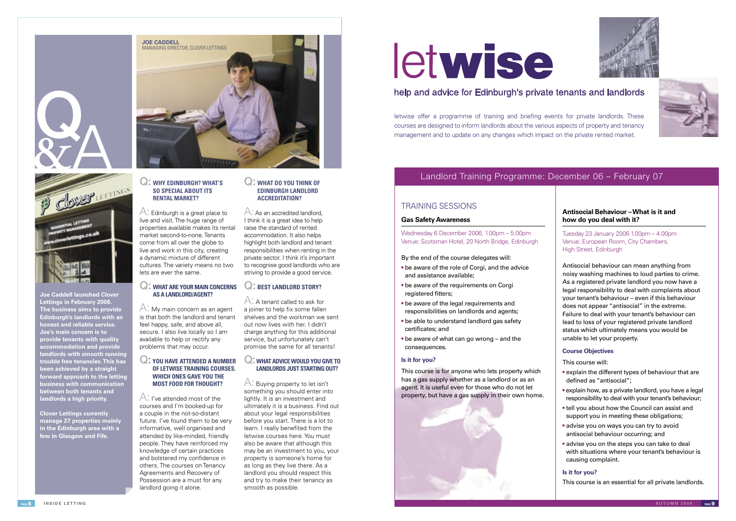# Q: **WHY EDINBURGH? WHAT'S SO SPECIAL ABOUT ITS RENTAL MARKET?**

 $\bigwedge$ : Edinburgh is a great place to live and visit. The huge range of properties available makes its rental market second-to-none. Tenants come from all over the globe to live and work in this city, creating a dynamic mixture of different cultures. The variety means no two lets are ever the same.

A: I've attended most of the courses and I'm booked-up for a couple in the not-so-distant future. I've found them to be very informative, well organised and attended by like-minded, friendly people. They have reinforced my knowledge of certain practices and bolstered my confidence in others. The courses on Tenancy Agreements and Recovery of Possession are a must for any landlord going it alone.

# Q: **WHAT ARE YOUR MAIN CONCERNS AS A LANDLORD/AGENT?**

A: My main concern as an agent is that both the landlord and tenant feel happy, safe, and above all, secure. I also live locally so I am available to help or rectify any problems that may occur.

# Q: **YOU HAVE ATTENDED A NUMBER OF LETWISE TRAINING COURSES. WHICH ONES GAVE YOU THE MOST FOOD FOR THOUGHT?**

A: As an accredited landlord, I think it is a great idea to help raise the standard of rented accommodation. It also helps highlight both landlord and tenant responsibilities when renting in the private sector. I think it's important to recognise good landlords who are striving to provide a good service.

# Q: **WHAT DO YOU THINK OF EDINBURGH LANDLORD ACCREDITATION?**

# Q: **BEST LANDLORD STORY?**

letwise offer a programme of training and briefing events for private landlords. These courses are designed to inform landlords about the various aspects of property and tenancy management and to update on any changes which impact on the private rented market.

A: A tenant called to ask for a joiner to help fix some fallen shelves and the workman we sent out now lives with her. I didn't charge anything for this additional service, but unfortunately can't promise the same for all tenants!

# Q: **WHAT ADVICE WOULD YOU GIVE TO LANDLORDS JUST STARTING OUT?**

A: Buying property to let isn't something you should enter into lightly. It is an investment and ultimately it is a business. Find out about your legal responsibilities before you start. There is a lot to learn. I really benefited from the letwise courses here. You must also be aware that although this may be an investment to you, your property is someone's home for as long as they live there. As a landlord you should respect this and try to make their tenancy as smooth as possible.

# letwise

# help and advice for Edinburgh's private tenants and landlords



**Joe's main concern is to provide tenants with quality accommodation and provide landlords with smooth running trouble free tenancies. This has been achieved by a straight forward approach to the letting business with communication between both tenants and landlords a high priority.** 

**Clover Lettings currently manage 27 properties mainly in the Edinburgh area with a few in Glasgow and Fife.**

# Landlord Training Programme: December 06 – February 07

# **Antisocial Behaviour – What is it and how do you deal with it?**

Tuesday 23 January 2006 1.00pm – 4.00pm Venue: European Room, City Chambers, High Street, Edinburgh

Antisocial behaviour can mean anything from noisy washing machines to loud parties to crime. As a registered private landlord you now have a legal responsibility to deal with complaints about your tenant's behaviour – even if this behaviour does not appear "antisocial" in the extreme. Failure to deal with your tenant's behaviour can lead to loss of your registered private landlord status which ultimately means you would be unable to let your property.

# **Course Objectives**

This course will:

- explain the different types of behaviour that are defined as "antisocial":
- explain how, as a private landlord, you have a legal responsibility to deal with your tenant's behaviour;
- tell you about how the Council can assist and support you in meeting these obligations;
- advise you on ways you can try to avoid antisocial behaviour occurring; and
- advise you on the steps you can take to deal with situations where your tenant's behaviour is causing complaint.

# **Is it for you?**

This course is an essential for all private landlords.

# TRAINING SESSIONS

# **Gas Safety Awareness**

Wednesday 6 December 2006, 1.00pm – 5.00pm Venue: Scotsman Hotel, 20 North Bridge, Edinburgh

By the end of the course delegates will:

- be aware of the role of Corgi, and the advice and assistance available;
- be aware of the requirements on Corgi registered fitters:
- be aware of the legal requirements and responsibilities on landlords and agents;
- be able to understand landlord gas safety certificates; and
- be aware of what can go wrong and the consequences.

# **Is it for you?**

This course is for anyone who lets property which has a gas supply whether as a landlord or as an agent. It is useful even for those who do not let property, but have a gas supply in their own home.









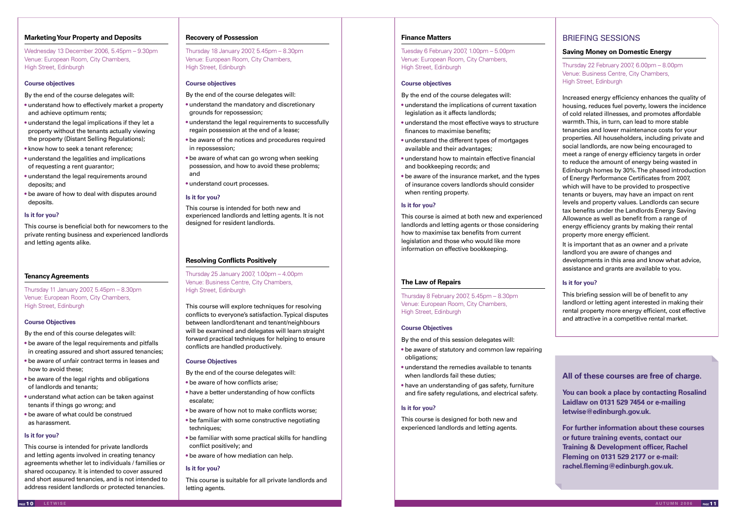# **Marketing Your Property and Deposits**

Wednesday 13 December 2006, 5.45pm – 9.30pm Venue: European Room, City Chambers, High Street, Edinburgh

# **Course objectives**

By the end of the course delegates will:

- understand how to effectively market a property and achieve optimum rents;
- understand the legal implications if they let a property without the tenants actually viewing the property (Distant Selling Regulations);
- know how to seek a tenant reference:
- understand the legalities and implications of requesting a rent guarantor;
- understand the legal requirements around deposits; and
- be aware of how to deal with disputes around deposits.

## **Is it for you?**

This course is beneficial both for newcomers to the private renting business and experienced landlords and letting agents alike.

# **Tenancy Agreements**

Thursday 11 January 2007, 5.45pm – 8.30pm Venue: European Room, City Chambers, High Street, Edinburgh

#### **Course Objectives**

By the end of this course delegates will:

- be aware of the legal requirements and pitfalls in creating assured and short assured tenancies;
- be aware of unfair contract terms in leases and how to avoid these;
- be aware of the legal rights and obligations of landlords and tenants;
- understand what action can be taken against tenants if things go wrong; and
- be aware of what could be construed as harassment.

#### **Is it for you?**

This course is intended for private landlords and letting agents involved in creating tenancy agreements whether let to individuals / families or shared occupancy. It is intended to cover assured and short assured tenancies, and is not intended to address resident landlords or protected tenancies.

# **Recovery of Possession**

Thursday 18 January 2007, 5.45pm – 8.30pm Venue: European Room, City Chambers, High Street, Edinburgh

## **Course objectives**

By the end of the course delegates will:

- understand the mandatory and discretionary grounds for repossession;
- understand the legal requirements to successfully regain possession at the end of a lease;
- be aware of the notices and procedures required in repossession;
- be aware of what can go wrong when seeking possession, and how to avoid these problems; and
- understand court processes.

#### **Is it for you?**

This course is intended for both new and experienced landlords and letting agents. It is not designed for resident landlords.

# **Resolving Conflicts Positively**

Thursday 25 January 2007, 1.00pm – 4.00pm Venue: Business Centre, City Chambers, High Street, Edinburgh

This course will explore techniques for resolving conflicts to everyone's satisfaction. Typical disputes between landlord/tenant and tenant/neighbours will be examined and delegates will learn straight forward practical techniques for helping to ensure conflicts are handled productively.

#### **Course Objectives**

By the end of the course delegates will:

- be aware of how conflicts arise;
- have a better understanding of how conflicts escalate;
- be aware of how not to make conflicts worse;
- be familiar with some constructive negotiating techniques;
- be familiar with some practical skills for handling conflict positively; and
- be aware of how mediation can help.

#### **Is it for you?**

This course is suitable for all private landlords and letting agents.

# **Finance Matters**

Tuesday 6 February 2007, 1.00pm – 5.00pm Venue: European Room, City Chambers, High Street, Edinburgh

# **Course objectives**

By the end of the course delegates will:

- understand the implications of current taxation legislation as it affects landlords;
- understand the most effective ways to structure finances to maximise benefits;
- understand the different types of mortgages available and their advantages;
- understand how to maintain effective financial and bookkeeping records; and
- be aware of the insurance market, and the types of insurance covers landlords should consider when renting property.

## **Is it for you?**

This course is aimed at both new and experienced landlords and letting agents or those considering how to maximise tax benefits from current legislation and those who would like more information on effective bookkeeping.

# **The Law of Repairs**

Thursday 8 February 2007, 5.45pm – 8.30pm Venue: European Room, City Chambers, High Street, Edinburgh

#### **Course Objectives**

- By the end of this session delegates will:
- be aware of statutory and common law repairing obligations;
- understand the remedies available to tenants when landlords fail these duties:
- have an understanding of gas safety, furniture and fire safety regulations, and electrical safety.

# **Is it for you?**

This course is designed for both new and experienced landlords and letting agents.

# BRIEFING SESSIONS

# **Saving Money on Domestic Energy**

Thursday 22 February 2007, 6.00pm – 8.00pm Venue: Business Centre, City Chambers, High Street, Edinburgh

Increased energy efficiency enhances the quality of housing, reduces fuel poverty, lowers the incidence of cold related illnesses, and promotes affordable warmth. This, in turn, can lead to more stable tenancies and lower maintenance costs for your properties. All householders, including private and social landlords, are now being encouraged to meet a range of energy efficiency targets in order to reduce the amount of energy being wasted in Edinburgh homes by 30%. The phased introduction of Energy Performance Certificates from 2007, which will have to be provided to prospective tenants or buyers, may have an impact on rent levels and property values. Landlords can secure tax benefits under the Landlords Energy Saving Allowance as well as benefit from a range of energy efficiency grants by making their rental property more energy efficient.

It is important that as an owner and a private landlord you are aware of changes and developments in this area and know what advice, assistance and grants are available to you.

# **Is it for you?**

This briefing session will be of benefit to any landlord or letting agent interested in making their rental property more energy efficient, cost effective and attractive in a competitive rental market.

# **All of these courses are free of charge.**

**You can book a place by contacting Rosalind Laidlaw on 0131 529 7454 or e-mailing letwise@edinburgh.gov.uk.**

**For further information about these courses or future training events, contact our Training & Development officer, Rachel Fleming on 0131 529 2177 or e-mail: rachel.fleming@edinburgh.gov.uk.**